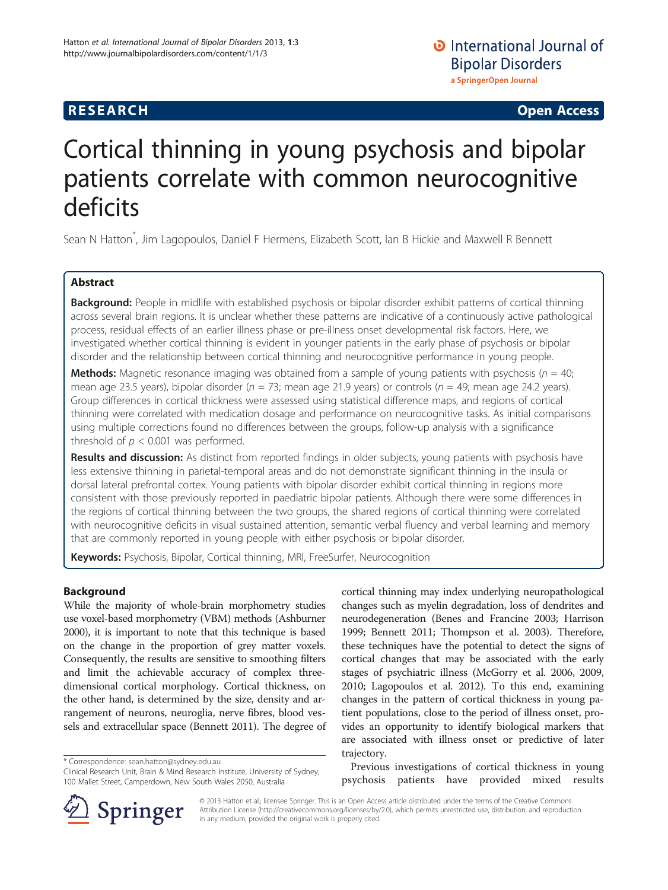# **RESEARCH CHINESE ARCH CHINESE ARCH CHINESE ARCH <b>CHINESE ARCH**

# Cortical thinning in young psychosis and bipolar patients correlate with common neurocognitive deficits

Sean N Hatton\* , Jim Lagopoulos, Daniel F Hermens, Elizabeth Scott, Ian B Hickie and Maxwell R Bennett

# Abstract

Background: People in midlife with established psychosis or bipolar disorder exhibit patterns of cortical thinning across several brain regions. It is unclear whether these patterns are indicative of a continuously active pathological process, residual effects of an earlier illness phase or pre-illness onset developmental risk factors. Here, we investigated whether cortical thinning is evident in younger patients in the early phase of psychosis or bipolar disorder and the relationship between cortical thinning and neurocognitive performance in young people.

**Methods:** Magnetic resonance imaging was obtained from a sample of young patients with psychosis ( $n = 40$ ; mean age 23.5 years), bipolar disorder ( $n = 73$ ; mean age 21.9 years) or controls ( $n = 49$ ; mean age 24.2 years). Group differences in cortical thickness were assessed using statistical difference maps, and regions of cortical thinning were correlated with medication dosage and performance on neurocognitive tasks. As initial comparisons using multiple corrections found no differences between the groups, follow-up analysis with a significance threshold of  $p < 0.001$  was performed.

Results and discussion: As distinct from reported findings in older subjects, young patients with psychosis have less extensive thinning in parietal-temporal areas and do not demonstrate significant thinning in the insula or dorsal lateral prefrontal cortex. Young patients with bipolar disorder exhibit cortical thinning in regions more consistent with those previously reported in paediatric bipolar patients. Although there were some differences in the regions of cortical thinning between the two groups, the shared regions of cortical thinning were correlated with neurocognitive deficits in visual sustained attention, semantic verbal fluency and verbal learning and memory that are commonly reported in young people with either psychosis or bipolar disorder.

Keywords: Psychosis, Bipolar, Cortical thinning, MRI, FreeSurfer, Neurocognition

# Background

While the majority of whole-brain morphometry studies use voxel-based morphometry (VBM) methods (Ashburner [2000\)](#page-11-0), it is important to note that this technique is based on the change in the proportion of grey matter voxels. Consequently, the results are sensitive to smoothing filters and limit the achievable accuracy of complex threedimensional cortical morphology. Cortical thickness, on the other hand, is determined by the size, density and arrangement of neurons, neuroglia, nerve fibres, blood vessels and extracellular space (Bennett [2011\)](#page-11-0). The degree of

\* Correspondence: [sean.hatton@sydney.edu.au](mailto:sean.hatton@sydney.edu.au)

cortical thinning may index underlying neuropathological changes such as myelin degradation, loss of dendrites and neurodegeneration (Benes and Francine [2003;](#page-11-0) Harrison [1999](#page-11-0); Bennett [2011](#page-11-0); Thompson et al. [2003\)](#page-12-0). Therefore, these techniques have the potential to detect the signs of cortical changes that may be associated with the early stages of psychiatric illness (McGorry et al. [2006, 2009](#page-11-0), [2010](#page-11-0); Lagopoulos et al. [2012](#page-11-0)). To this end, examining changes in the pattern of cortical thickness in young patient populations, close to the period of illness onset, provides an opportunity to identify biological markers that are associated with illness onset or predictive of later trajectory.

Previous investigations of cortical thickness in young psychosis patients have provided mixed results



© 2013 Hatton et al.; licensee Springer. This is an Open Access article distributed under the terms of the Creative Commons Attribution License [\(http://creativecommons.org/licenses/by/2.0\)](http://creativecommons.org/licenses/by/2.0), which permits unrestricted use, distribution, and reproduction in any medium, provided the original work is properly cited.

Clinical Research Unit, Brain & Mind Research Institute, University of Sydney, 100 Mallet Street, Camperdown, New South Wales 2050, Australia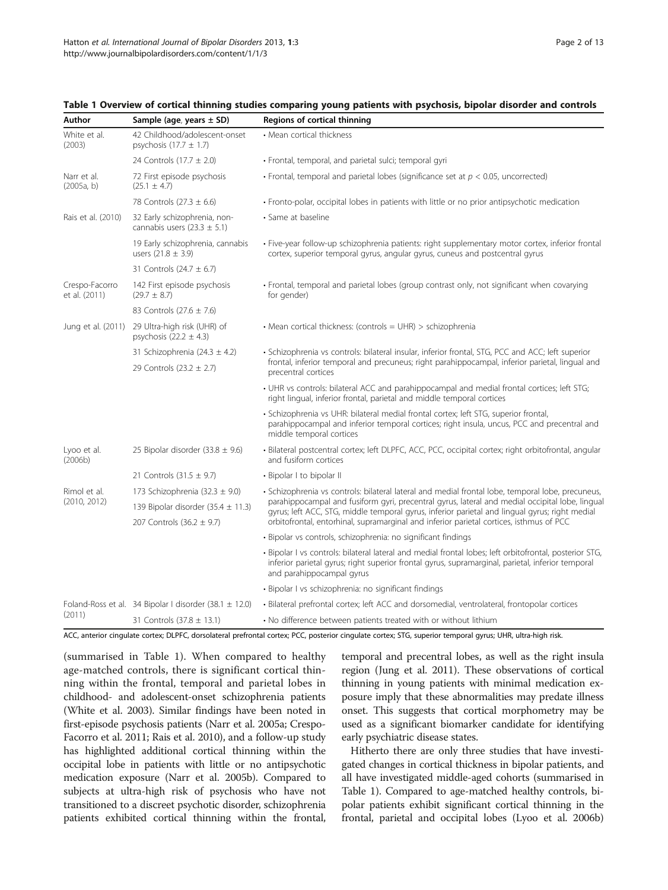| Author                          | Sample (age, years $\pm$ SD)                                    | Regions of cortical thinning                                                                                                                                                                                                              |  |  |  |  |  |
|---------------------------------|-----------------------------------------------------------------|-------------------------------------------------------------------------------------------------------------------------------------------------------------------------------------------------------------------------------------------|--|--|--|--|--|
| White et al.<br>(2003)          | 42 Childhood/adolescent-onset<br>psychosis $(17.7 \pm 1.7)$     | • Mean cortical thickness                                                                                                                                                                                                                 |  |  |  |  |  |
|                                 | 24 Controls (17.7 ± 2.0)                                        | · Frontal, temporal, and parietal sulci; temporal gyri                                                                                                                                                                                    |  |  |  |  |  |
| Narr et al.<br>(2005a, b)       | 72 First episode psychosis<br>$(25.1 \pm 4.7)$                  | • Frontal, temporal and parietal lobes (significance set at $p < 0.05$ , uncorrected)                                                                                                                                                     |  |  |  |  |  |
|                                 | 78 Controls (27.3 $\pm$ 6.6)                                    | • Fronto-polar, occipital lobes in patients with little or no prior antipsychotic medication                                                                                                                                              |  |  |  |  |  |
| Rais et al. (2010)              | 32 Early schizophrenia, non-<br>cannabis users $(23.3 \pm 5.1)$ | • Same at baseline                                                                                                                                                                                                                        |  |  |  |  |  |
|                                 | 19 Early schizophrenia, cannabis<br>users $(21.8 \pm 3.9)$      | · Five-year follow-up schizophrenia patients: right supplementary motor cortex, inferior frontal<br>cortex, superior temporal gyrus, angular gyrus, cuneus and postcentral gyrus                                                          |  |  |  |  |  |
|                                 | 31 Controls (24.7 $\pm$ 6.7)                                    |                                                                                                                                                                                                                                           |  |  |  |  |  |
| Crespo-Facorro<br>et al. (2011) | 142 First episode psychosis<br>$(29.7 \pm 8.7)$                 | • Frontal, temporal and parietal lobes (group contrast only, not significant when covarying<br>for gender)                                                                                                                                |  |  |  |  |  |
|                                 | 83 Controls (27.6 $\pm$ 7.6)                                    |                                                                                                                                                                                                                                           |  |  |  |  |  |
| Jung et al. (2011)              | 29 Ultra-high risk (UHR) of<br>psychosis (22.2 $\pm$ 4.3)       | • Mean cortical thickness: (controls = UHR) > schizophrenia                                                                                                                                                                               |  |  |  |  |  |
|                                 | 31 Schizophrenia (24.3 $\pm$ 4.2)                               | · Schizophrenia vs controls: bilateral insular, inferior frontal, STG, PCC and ACC; left superior<br>frontal, inferior temporal and precuneus; right parahippocampal, inferior parietal, lingual and<br>precentral cortices               |  |  |  |  |  |
|                                 | 29 Controls (23.2 ± 2.7)                                        |                                                                                                                                                                                                                                           |  |  |  |  |  |
|                                 |                                                                 | • UHR vs controls: bilateral ACC and parahippocampal and medial frontal cortices; left STG;<br>right lingual, inferior frontal, parietal and middle temporal cortices                                                                     |  |  |  |  |  |
|                                 |                                                                 | · Schizophrenia vs UHR: bilateral medial frontal cortex; left STG, superior frontal,<br>parahippocampal and inferior temporal cortices; right insula, uncus, PCC and precentral and<br>middle temporal cortices                           |  |  |  |  |  |
| Lyoo et al.<br>(2006b)          | 25 Bipolar disorder (33.8 $\pm$ 9.6)                            | · Bilateral postcentral cortex; left DLPFC, ACC, PCC, occipital cortex; right orbitofrontal, angular<br>and fusiform cortices                                                                                                             |  |  |  |  |  |
|                                 | 21 Controls $(31.5 \pm 9.7)$                                    | • Bipolar I to bipolar II                                                                                                                                                                                                                 |  |  |  |  |  |
| Rimol et al.                    | 173 Schizophrenia (32.3 $\pm$ 9.0)                              | · Schizophrenia vs controls: bilateral lateral and medial frontal lobe, temporal lobe, precuneus,                                                                                                                                         |  |  |  |  |  |
| (2010, 2012)                    | 139 Bipolar disorder (35.4 $\pm$ 11.3)                          | parahippocampal and fusiform gyri, precentral gyrus, lateral and medial occipital lobe, lingual<br>gyrus; left ACC, STG, middle temporal gyrus, inferior parietal and lingual gyrus; right medial                                         |  |  |  |  |  |
|                                 | 207 Controls (36.2 ± 9.7)                                       | orbitofrontal, entorhinal, supramarginal and inferior parietal cortices, isthmus of PCC                                                                                                                                                   |  |  |  |  |  |
|                                 |                                                                 | · Bipolar vs controls, schizophrenia: no significant findings                                                                                                                                                                             |  |  |  |  |  |
|                                 |                                                                 | · Bipolar I vs controls: bilateral lateral and medial frontal lobes; left orbitofrontal, posterior STG,<br>inferior parietal gyrus; right superior frontal gyrus, supramarginal, parietal, inferior temporal<br>and parahippocampal gyrus |  |  |  |  |  |
|                                 |                                                                 | · Bipolar I vs schizophrenia: no significant findings                                                                                                                                                                                     |  |  |  |  |  |
|                                 | Foland-Ross et al. 34 Bipolar I disorder (38.1 $\pm$ 12.0)      | • Bilateral prefrontal cortex; left ACC and dorsomedial, ventrolateral, frontopolar cortices                                                                                                                                              |  |  |  |  |  |
| (2011)                          | 31 Controls (37.8 $\pm$ 13.1)                                   | • No difference between patients treated with or without lithium                                                                                                                                                                          |  |  |  |  |  |

<span id="page-1-0"></span>

| Table 1 Overview of cortical thinning studies comparing young patients with psychosis, bipolar disorder and controls |  |
|----------------------------------------------------------------------------------------------------------------------|--|
|----------------------------------------------------------------------------------------------------------------------|--|

ACC, anterior cingulate cortex; DLPFC, dorsolateral prefrontal cortex; PCC, posterior cingulate cortex; STG, superior temporal gyrus; UHR, ultra-high risk.

(summarised in Table 1). When compared to healthy age-matched controls, there is significant cortical thinning within the frontal, temporal and parietal lobes in childhood- and adolescent-onset schizophrenia patients (White et al. [2003\)](#page-12-0). Similar findings have been noted in first-episode psychosis patients (Narr et al. [2005a;](#page-11-0) Crespo-Facorro et al. [2011;](#page-11-0) Rais et al. [2010\)](#page-12-0), and a follow-up study has highlighted additional cortical thinning within the occipital lobe in patients with little or no antipsychotic medication exposure (Narr et al. [2005b](#page-12-0)). Compared to subjects at ultra-high risk of psychosis who have not transitioned to a discreet psychotic disorder, schizophrenia patients exhibited cortical thinning within the frontal,

temporal and precentral lobes, as well as the right insula region (Jung et al. [2011\)](#page-11-0). These observations of cortical thinning in young patients with minimal medication exposure imply that these abnormalities may predate illness onset. This suggests that cortical morphometry may be used as a significant biomarker candidate for identifying early psychiatric disease states.

Hitherto there are only three studies that have investigated changes in cortical thickness in bipolar patients, and all have investigated middle-aged cohorts (summarised in Table 1). Compared to age-matched healthy controls, bipolar patients exhibit significant cortical thinning in the frontal, parietal and occipital lobes (Lyoo et al. [2006b](#page-11-0))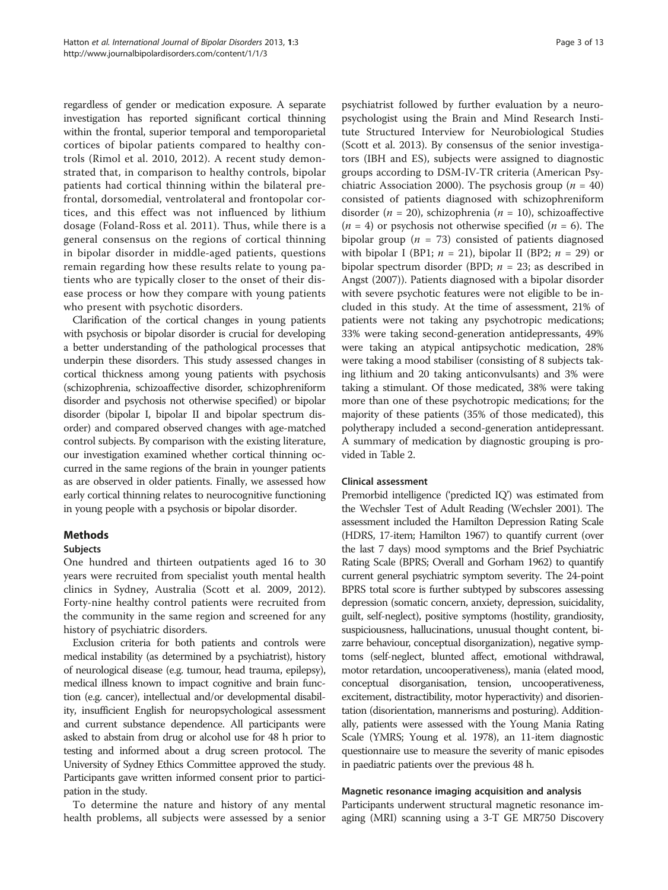regardless of gender or medication exposure. A separate investigation has reported significant cortical thinning within the frontal, superior temporal and temporoparietal cortices of bipolar patients compared to healthy controls (Rimol et al. [2010, 2012\)](#page-12-0). A recent study demonstrated that, in comparison to healthy controls, bipolar patients had cortical thinning within the bilateral prefrontal, dorsomedial, ventrolateral and frontopolar cortices, and this effect was not influenced by lithium dosage (Foland-Ross et al. [2011](#page-11-0)). Thus, while there is a general consensus on the regions of cortical thinning in bipolar disorder in middle-aged patients, questions remain regarding how these results relate to young patients who are typically closer to the onset of their disease process or how they compare with young patients who present with psychotic disorders.

Clarification of the cortical changes in young patients with psychosis or bipolar disorder is crucial for developing a better understanding of the pathological processes that underpin these disorders. This study assessed changes in cortical thickness among young patients with psychosis (schizophrenia, schizoaffective disorder, schizophreniform disorder and psychosis not otherwise specified) or bipolar disorder (bipolar I, bipolar II and bipolar spectrum disorder) and compared observed changes with age-matched control subjects. By comparison with the existing literature, our investigation examined whether cortical thinning occurred in the same regions of the brain in younger patients as are observed in older patients. Finally, we assessed how early cortical thinning relates to neurocognitive functioning in young people with a psychosis or bipolar disorder.

# Methods

# Subjects

One hundred and thirteen outpatients aged 16 to 30 years were recruited from specialist youth mental health clinics in Sydney, Australia (Scott et al. [2009, 2012](#page-12-0)). Forty-nine healthy control patients were recruited from the community in the same region and screened for any history of psychiatric disorders.

Exclusion criteria for both patients and controls were medical instability (as determined by a psychiatrist), history of neurological disease (e.g. tumour, head trauma, epilepsy), medical illness known to impact cognitive and brain function (e.g. cancer), intellectual and/or developmental disability, insufficient English for neuropsychological assessment and current substance dependence. All participants were asked to abstain from drug or alcohol use for 48 h prior to testing and informed about a drug screen protocol. The University of Sydney Ethics Committee approved the study. Participants gave written informed consent prior to participation in the study.

To determine the nature and history of any mental health problems, all subjects were assessed by a senior

psychiatrist followed by further evaluation by a neuropsychologist using the Brain and Mind Research Institute Structured Interview for Neurobiological Studies (Scott et al. [2013\)](#page-12-0). By consensus of the senior investigators (IBH and ES), subjects were assigned to diagnostic groups according to DSM-IV-TR criteria (American Psy-chiatric Association [2000\)](#page-11-0). The psychosis group  $(n = 40)$ consisted of patients diagnosed with schizophreniform disorder ( $n = 20$ ), schizophrenia ( $n = 10$ ), schizoaffective ( $n = 4$ ) or psychosis not otherwise specified ( $n = 6$ ). The bipolar group ( $n = 73$ ) consisted of patients diagnosed with bipolar I (BP1;  $n = 21$ ), bipolar II (BP2;  $n = 29$ ) or bipolar spectrum disorder (BPD;  $n = 23$ ; as described in Angst ([2007\)](#page-11-0)). Patients diagnosed with a bipolar disorder with severe psychotic features were not eligible to be included in this study. At the time of assessment, 21% of patients were not taking any psychotropic medications; 33% were taking second-generation antidepressants, 49% were taking an atypical antipsychotic medication, 28% were taking a mood stabiliser (consisting of 8 subjects taking lithium and 20 taking anticonvulsants) and 3% were taking a stimulant. Of those medicated, 38% were taking more than one of these psychotropic medications; for the majority of these patients (35% of those medicated), this polytherapy included a second-generation antidepressant. A summary of medication by diagnostic grouping is provided in Table [2](#page-3-0).

# Clinical assessment

Premorbid intelligence ('predicted IQ') was estimated from the Wechsler Test of Adult Reading (Wechsler [2001](#page-12-0)). The assessment included the Hamilton Depression Rating Scale (HDRS, 17-item; Hamilton [1967](#page-11-0)) to quantify current (over the last 7 days) mood symptoms and the Brief Psychiatric Rating Scale (BPRS; Overall and Gorham [1962](#page-12-0)) to quantify current general psychiatric symptom severity. The 24-point BPRS total score is further subtyped by subscores assessing depression (somatic concern, anxiety, depression, suicidality, guilt, self-neglect), positive symptoms (hostility, grandiosity, suspiciousness, hallucinations, unusual thought content, bizarre behaviour, conceptual disorganization), negative symptoms (self-neglect, blunted affect, emotional withdrawal, motor retardation, uncooperativeness), mania (elated mood, conceptual disorganisation, tension, uncooperativeness, excitement, distractibility, motor hyperactivity) and disorientation (disorientation, mannerisms and posturing). Additionally, patients were assessed with the Young Mania Rating Scale (YMRS; Young et al. [1978\)](#page-12-0), an 11-item diagnostic questionnaire use to measure the severity of manic episodes in paediatric patients over the previous 48 h.

# Magnetic resonance imaging acquisition and analysis

Participants underwent structural magnetic resonance imaging (MRI) scanning using a 3-T GE MR750 Discovery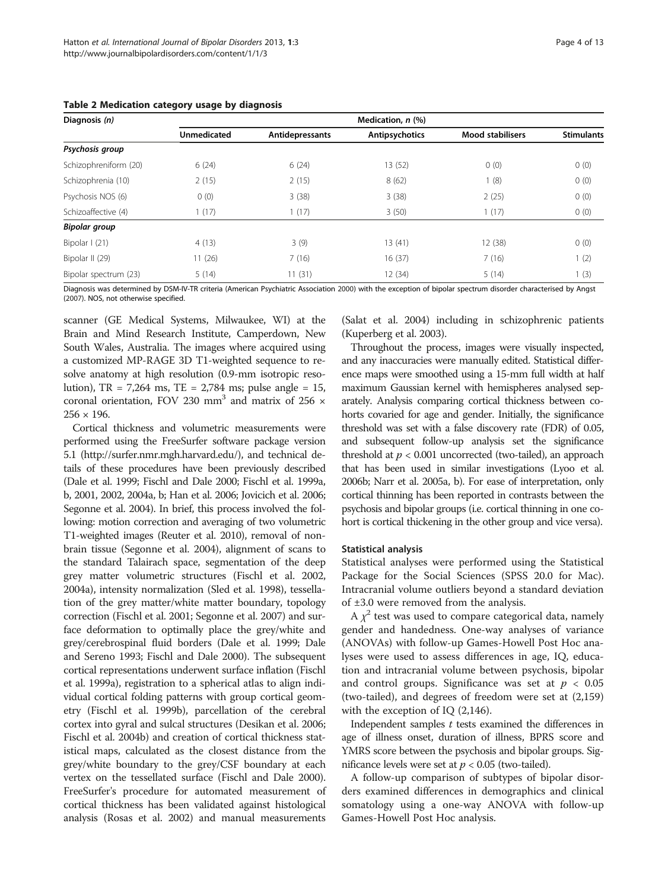| Diagnosis (n)         | Medication, $n$ (%) |                 |                |                         |                   |  |  |  |  |  |
|-----------------------|---------------------|-----------------|----------------|-------------------------|-------------------|--|--|--|--|--|
|                       | <b>Unmedicated</b>  | Antidepressants | Antipsychotics | <b>Mood stabilisers</b> | <b>Stimulants</b> |  |  |  |  |  |
| Psychosis group       |                     |                 |                |                         |                   |  |  |  |  |  |
| Schizophreniform (20) | 6(24)               | 6(24)           | 13 (52)        | 0(0)                    | 0(0)              |  |  |  |  |  |
| Schizophrenia (10)    | 2(15)               | 2(15)           | 8(62)          | 1(8)                    | 0(0)              |  |  |  |  |  |
| Psychosis NOS (6)     | 0(0)                | 3(38)           | 3(38)          | 2(25)                   | 0(0)              |  |  |  |  |  |
| Schizoaffective (4)   | (17)                | 1(17)           | 3(50)          | 1(17)                   | 0(0)              |  |  |  |  |  |
| <b>Bipolar group</b>  |                     |                 |                |                         |                   |  |  |  |  |  |
| Bipolar $\vert$ (21)  | 4(13)               | 3(9)            | 13 (41)        | 12 (38)                 | 0(0)              |  |  |  |  |  |
| Bipolar II (29)       | 11(26)              | 7(16)           | 16(37)         | 7(16)                   | 1(2)              |  |  |  |  |  |
| Bipolar spectrum (23) | 5(14)               | 11(31)          | 12 (34)        | 5(14)                   | 1(3)              |  |  |  |  |  |

<span id="page-3-0"></span>Table 2 Medication category usage by diagnosis

Diagnosis was determined by DSM-IV-TR criteria (American Psychiatric Association [2000\)](#page-11-0) with the exception of bipolar spectrum disorder characterised by Angst ([2007\)](#page-11-0). NOS, not otherwise specified.

scanner (GE Medical Systems, Milwaukee, WI) at the Brain and Mind Research Institute, Camperdown, New South Wales, Australia. The images where acquired using a customized MP-RAGE 3D T1-weighted sequence to resolve anatomy at high resolution (0.9-mm isotropic resolution),  $TR = 7,264$  ms,  $TE = 2,784$  ms; pulse angle = 15, coronal orientation, FOV 230 mm<sup>3</sup> and matrix of 256  $\times$  $256 \times 196$ .

Cortical thickness and volumetric measurements were performed using the FreeSurfer software package version 5.1 [\(http://surfer.nmr.mgh.harvard.edu/](http://surfer.nmr.mgh.harvard.edu/)), and technical details of these procedures have been previously described (Dale et al. [1999](#page-11-0); Fischl and Dale [2000](#page-11-0); Fischl et al. [1999a](#page-11-0), [b, 2001](#page-11-0), [2002, 2004a](#page-11-0), [b](#page-11-0); Han et al. [2006;](#page-11-0) Jovicich et al. [2006](#page-11-0); Segonne et al. [2004\)](#page-12-0). In brief, this process involved the following: motion correction and averaging of two volumetric T1-weighted images (Reuter et al. [2010](#page-12-0)), removal of nonbrain tissue (Segonne et al. [2004](#page-12-0)), alignment of scans to the standard Talairach space, segmentation of the deep grey matter volumetric structures (Fischl et al. [2002](#page-11-0), [2004a](#page-11-0)), intensity normalization (Sled et al. [1998](#page-12-0)), tessellation of the grey matter/white matter boundary, topology correction (Fischl et al. [2001;](#page-11-0) Segonne et al. [2007\)](#page-12-0) and surface deformation to optimally place the grey/white and grey/cerebrospinal fluid borders (Dale et al. [1999](#page-11-0); Dale and Sereno [1993](#page-11-0); Fischl and Dale [2000](#page-11-0)). The subsequent cortical representations underwent surface inflation (Fischl et al. [1999a\)](#page-11-0), registration to a spherical atlas to align individual cortical folding patterns with group cortical geometry (Fischl et al. [1999b](#page-11-0)), parcellation of the cerebral cortex into gyral and sulcal structures (Desikan et al. [2006](#page-11-0); Fischl et al. [2004b\)](#page-11-0) and creation of cortical thickness statistical maps, calculated as the closest distance from the grey/white boundary to the grey/CSF boundary at each vertex on the tessellated surface (Fischl and Dale [2000](#page-11-0)). FreeSurfer's procedure for automated measurement of cortical thickness has been validated against histological analysis (Rosas et al. [2002](#page-12-0)) and manual measurements (Salat et al. [2004](#page-12-0)) including in schizophrenic patients (Kuperberg et al. [2003](#page-11-0)).

Throughout the process, images were visually inspected, and any inaccuracies were manually edited. Statistical difference maps were smoothed using a 15-mm full width at half maximum Gaussian kernel with hemispheres analysed separately. Analysis comparing cortical thickness between cohorts covaried for age and gender. Initially, the significance threshold was set with a false discovery rate (FDR) of 0.05, and subsequent follow-up analysis set the significance threshold at  $p < 0.001$  uncorrected (two-tailed), an approach that has been used in similar investigations (Lyoo et al. [2006b](#page-11-0); Narr et al. [2005a](#page-11-0), [b\)](#page-12-0). For ease of interpretation, only cortical thinning has been reported in contrasts between the psychosis and bipolar groups (i.e. cortical thinning in one cohort is cortical thickening in the other group and vice versa).

#### Statistical analysis

Statistical analyses were performed using the Statistical Package for the Social Sciences (SPSS 20.0 for Mac). Intracranial volume outliers beyond a standard deviation of ±3.0 were removed from the analysis.

A  $\chi^2$  test was used to compare categorical data, namely gender and handedness. One-way analyses of variance (ANOVAs) with follow-up Games-Howell Post Hoc analyses were used to assess differences in age, IQ, education and intracranial volume between psychosis, bipolar and control groups. Significance was set at  $p < 0.05$ (two-tailed), and degrees of freedom were set at (2,159) with the exception of IQ (2,146).

Independent samples  $t$  tests examined the differences in age of illness onset, duration of illness, BPRS score and YMRS score between the psychosis and bipolar groups. Significance levels were set at  $p < 0.05$  (two-tailed).

A follow-up comparison of subtypes of bipolar disorders examined differences in demographics and clinical somatology using a one-way ANOVA with follow-up Games-Howell Post Hoc analysis.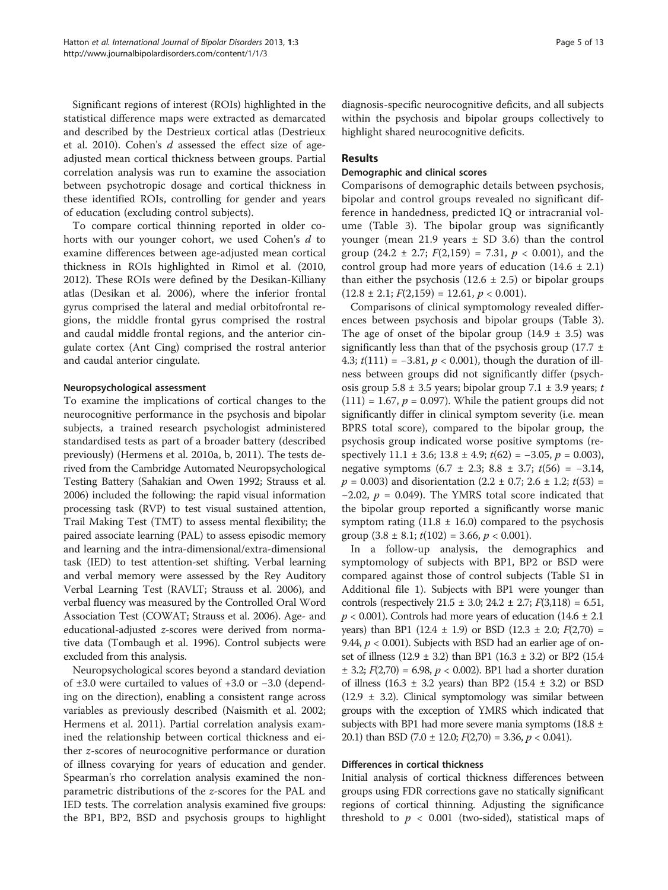Significant regions of interest (ROIs) highlighted in the statistical difference maps were extracted as demarcated and described by the Destrieux cortical atlas (Destrieux et al. [2010](#page-11-0)). Cohen's d assessed the effect size of ageadjusted mean cortical thickness between groups. Partial correlation analysis was run to examine the association between psychotropic dosage and cortical thickness in these identified ROIs, controlling for gender and years of education (excluding control subjects).

To compare cortical thinning reported in older cohorts with our younger cohort, we used Cohen's d to examine differences between age-adjusted mean cortical thickness in ROIs highlighted in Rimol et al. ([2010](#page-12-0), [2012](#page-12-0)). These ROIs were defined by the Desikan-Killiany atlas (Desikan et al. [2006\)](#page-11-0), where the inferior frontal gyrus comprised the lateral and medial orbitofrontal regions, the middle frontal gyrus comprised the rostral and caudal middle frontal regions, and the anterior cingulate cortex (Ant Cing) comprised the rostral anterior and caudal anterior cingulate.

# Neuropsychological assessment

To examine the implications of cortical changes to the neurocognitive performance in the psychosis and bipolar subjects, a trained research psychologist administered standardised tests as part of a broader battery (described previously) (Hermens et al. [2010a](#page-11-0), [b](#page-11-0), [2011](#page-11-0)). The tests derived from the Cambridge Automated Neuropsychological Testing Battery (Sahakian and Owen [1992;](#page-12-0) Strauss et al. [2006\)](#page-12-0) included the following: the rapid visual information processing task (RVP) to test visual sustained attention, Trail Making Test (TMT) to assess mental flexibility; the paired associate learning (PAL) to assess episodic memory and learning and the intra-dimensional/extra-dimensional task (IED) to test attention-set shifting. Verbal learning and verbal memory were assessed by the Rey Auditory Verbal Learning Test (RAVLT; Strauss et al. [2006](#page-12-0)), and verbal fluency was measured by the Controlled Oral Word Association Test (COWAT; Strauss et al. [2006](#page-12-0)). Age- and educational-adjusted z-scores were derived from normative data (Tombaugh et al. [1996](#page-12-0)). Control subjects were excluded from this analysis.

Neuropsychological scores beyond a standard deviation of ±3.0 were curtailed to values of +3.0 or −3.0 (depending on the direction), enabling a consistent range across variables as previously described (Naismith et al. [2002](#page-11-0); Hermens et al. [2011](#page-11-0)). Partial correlation analysis examined the relationship between cortical thickness and either z-scores of neurocognitive performance or duration of illness covarying for years of education and gender. Spearman's rho correlation analysis examined the nonparametric distributions of the z-scores for the PAL and IED tests. The correlation analysis examined five groups: the BP1, BP2, BSD and psychosis groups to highlight

diagnosis-specific neurocognitive deficits, and all subjects within the psychosis and bipolar groups collectively to highlight shared neurocognitive deficits.

# Results

# Demographic and clinical scores

Comparisons of demographic details between psychosis, bipolar and control groups revealed no significant difference in handedness, predicted IQ or intracranial volume (Table [3](#page-5-0)). The bipolar group was significantly younger (mean 21.9 years  $\pm$  SD 3.6) than the control group (24.2  $\pm$  2.7;  $F(2,159) = 7.31$ ,  $p < 0.001$ ), and the control group had more years of education  $(14.6 \pm 2.1)$ than either the psychosis  $(12.6 \pm 2.5)$  or bipolar groups  $(12.8 \pm 2.1; F(2,159) = 12.61, p < 0.001).$ 

Comparisons of clinical symptomology revealed differences between psychosis and bipolar groups (Table [3](#page-5-0)). The age of onset of the bipolar group  $(14.9 \pm 3.5)$  was significantly less than that of the psychosis group (17.7  $\pm$ 4.3;  $t(111) = -3.81$ ,  $p < 0.001$ ), though the duration of illness between groups did not significantly differ (psychosis group  $5.8 \pm 3.5$  years; bipolar group  $7.1 \pm 3.9$  years; t  $(111) = 1.67$ ,  $p = 0.097$ . While the patient groups did not significantly differ in clinical symptom severity (i.e. mean BPRS total score), compared to the bipolar group, the psychosis group indicated worse positive symptoms (respectively  $11.1 \pm 3.6$ ;  $13.8 \pm 4.9$ ;  $t(62) = -3.05$ ,  $p = 0.003$ ), negative symptoms  $(6.7 \pm 2.3; 8.8 \pm 3.7; t(56) = -3.14,$  $p = 0.003$ ) and disorientation  $(2.2 \pm 0.7; 2.6 \pm 1.2; t(53))$  $-2.02$ ,  $p = 0.049$ ). The YMRS total score indicated that the bipolar group reported a significantly worse manic symptom rating  $(11.8 \pm 16.0)$  compared to the psychosis group  $(3.8 \pm 8.1; t(102) = 3.66, p < 0.001)$ .

In a follow-up analysis, the demographics and symptomology of subjects with BP1, BP2 or BSD were compared against those of control subjects (Table S1 in Additional file [1\)](#page-10-0). Subjects with BP1 were younger than controls (respectively  $21.5 \pm 3.0$ ;  $24.2 \pm 2.7$ ;  $F(3,118) = 6.51$ ,  $p < 0.001$ ). Controls had more years of education (14.6  $\pm$  2.1) years) than BP1 (12.4  $\pm$  1.9) or BSD (12.3  $\pm$  2.0;  $F(2,70) =$ 9.44,  $p < 0.001$ ). Subjects with BSD had an earlier age of onset of illness  $(12.9 \pm 3.2)$  than BP1  $(16.3 \pm 3.2)$  or BP2  $(15.4)$  $\pm$  3.2;  $F(2,70) = 6.98$ ,  $p < 0.002$ ). BP1 had a shorter duration of illness  $(16.3 \pm 3.2 \text{ years})$  than BP2  $(15.4 \pm 3.2)$  or BSD  $(12.9 \pm 3.2)$ . Clinical symptomology was similar between groups with the exception of YMRS which indicated that subjects with BP1 had more severe mania symptoms (18.8  $\pm$ 20.1) than BSD  $(7.0 \pm 12.0; F(2,70) = 3.36, p < 0.041)$ .

# Differences in cortical thickness

Initial analysis of cortical thickness differences between groups using FDR corrections gave no statically significant regions of cortical thinning. Adjusting the significance threshold to  $p < 0.001$  (two-sided), statistical maps of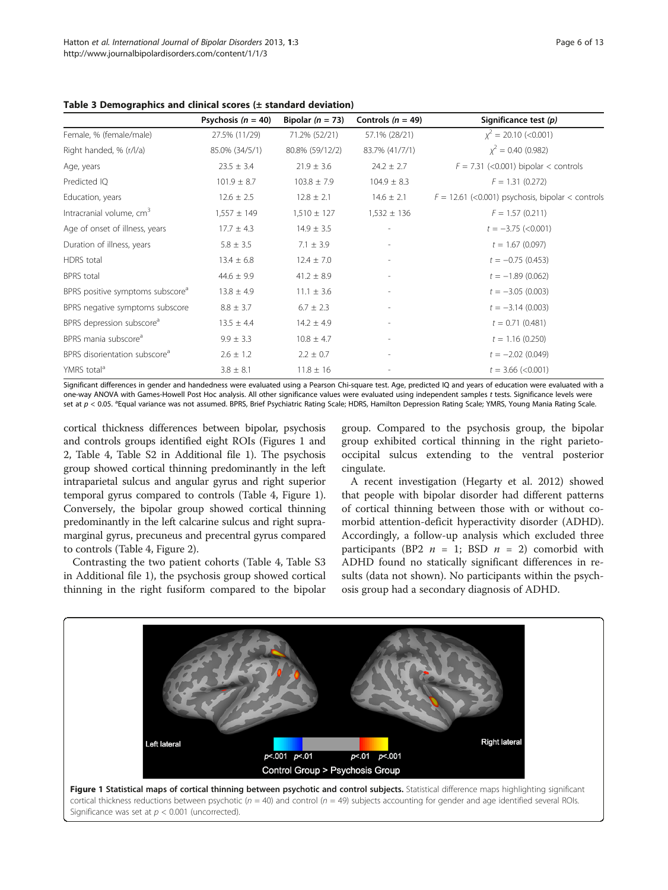|                                              | Psychosis ( $n = 40$ ) | Bipolar $(n = 73)$ | Controls $(n = 49)$      | Significance test (p)                              |
|----------------------------------------------|------------------------|--------------------|--------------------------|----------------------------------------------------|
| Female, % (female/male)                      | 27.5% (11/29)          | 71.2% (52/21)      | 57.1% (28/21)            | $x^2$ = 20.10 (<0.001)                             |
| Right handed, % (r/l/a)                      | 85.0% (34/5/1)         | 80.8% (59/12/2)    | 83.7% (41/7/1)           | $x^2 = 0.40$ (0.982)                               |
| Age, years                                   | $23.5 \pm 3.4$         | $21.9 \pm 3.6$     | $24.2 \pm 2.7$           | $F = 7.31$ (<0.001) bipolar < controls             |
| Predicted IQ                                 | $101.9 \pm 8.7$        | $103.8 \pm 7.9$    | $104.9 \pm 8.3$          | $F = 1.31(0.272)$                                  |
| Education, years                             | $12.6 \pm 2.5$         | $12.8 \pm 2.1$     | $14.6 \pm 2.1$           | $F = 12.61$ (<0.001) psychosis, bipolar < controls |
| Intracranial volume, cm <sup>3</sup>         | $1,557 \pm 149$        | $1,510 \pm 127$    | $1,532 \pm 136$          | $F = 1.57(0.211)$                                  |
| Age of onset of illness, years               | $17.7 \pm 4.3$         | $14.9 \pm 3.5$     |                          | $t = -3.75$ (<0.001)                               |
| Duration of illness, years                   | $5.8 \pm 3.5$          | 7.1 $\pm$ 3.9      |                          | $t = 1.67(0.097)$                                  |
| HDRS total                                   | $13.4 \pm 6.8$         | $12.4 \pm 7.0$     |                          | $t = -0.75(0.453)$                                 |
| <b>BPRS</b> total                            | $44.6 \pm 9.9$         | $41.2 \pm 8.9$     |                          | $t = -1.89(0.062)$                                 |
| BPRS positive symptoms subscore <sup>a</sup> | $13.8 \pm 4.9$         | $11.1 \pm 3.6$     |                          | $t = -3.05(0.003)$                                 |
| BPRS negative symptoms subscore              | $8.8 \pm 3.7$          | $6.7 \pm 2.3$      |                          | $t = -3.14(0.003)$                                 |
| BPRS depression subscore <sup>a</sup>        | $13.5 \pm 4.4$         | $14.2 \pm 4.9$     | $\overline{\phantom{a}}$ | $t = 0.71(0.481)$                                  |
| BPRS mania subscore <sup>a</sup>             | $9.9 \pm 3.3$          | $10.8 \pm 4.7$     |                          | $t = 1.16$ (0.250)                                 |
| BPRS disorientation subscore <sup>a</sup>    | $2.6 \pm 1.2$          | $2.2 \pm 0.7$      |                          | $t = -2.02$ (0.049)                                |
| YMRS total <sup>a</sup>                      | $3.8 \pm 8.1$          | $11.8 \pm 16$      |                          | $t = 3.66$ (<0.001)                                |

<span id="page-5-0"></span>Table 3 Demographics and clinical scores (± standard deviation)

Significant differences in gender and handedness were evaluated using a Pearson Chi-square test. Age, predicted IQ and years of education were evaluated with a one-way ANOVA with Games-Howell Post Hoc analysis. All other significance values were evaluated using independent samples t tests. Significance levels were set at p < 0.05. <sup>a</sup>Equal variance was not assumed. BPRS, Brief Psychiatric Rating Scale; HDRS, Hamilton Depression Rating Scale; YMRS, Young Mania Rating Scale.

cortical thickness differences between bipolar, psychosis and controls groups identified eight ROIs (Figures 1 and [2,](#page-6-0) Table [4](#page-6-0), Table S2 in Additional file [1](#page-10-0)). The psychosis group showed cortical thinning predominantly in the left intraparietal sulcus and angular gyrus and right superior temporal gyrus compared to controls (Table [4](#page-6-0), Figure 1). Conversely, the bipolar group showed cortical thinning predominantly in the left calcarine sulcus and right supramarginal gyrus, precuneus and precentral gyrus compared to controls (Table [4,](#page-6-0) Figure [2](#page-6-0)).

Contrasting the two patient cohorts (Table [4](#page-6-0), Table S3 in Additional file [1](#page-10-0)), the psychosis group showed cortical thinning in the right fusiform compared to the bipolar group. Compared to the psychosis group, the bipolar group exhibited cortical thinning in the right parietooccipital sulcus extending to the ventral posterior cingulate.

A recent investigation (Hegarty et al. [2012\)](#page-11-0) showed that people with bipolar disorder had different patterns of cortical thinning between those with or without comorbid attention-deficit hyperactivity disorder (ADHD). Accordingly, a follow-up analysis which excluded three participants (BP2  $n = 1$ ; BSD  $n = 2$ ) comorbid with ADHD found no statically significant differences in results (data not shown). No participants within the psychosis group had a secondary diagnosis of ADHD.

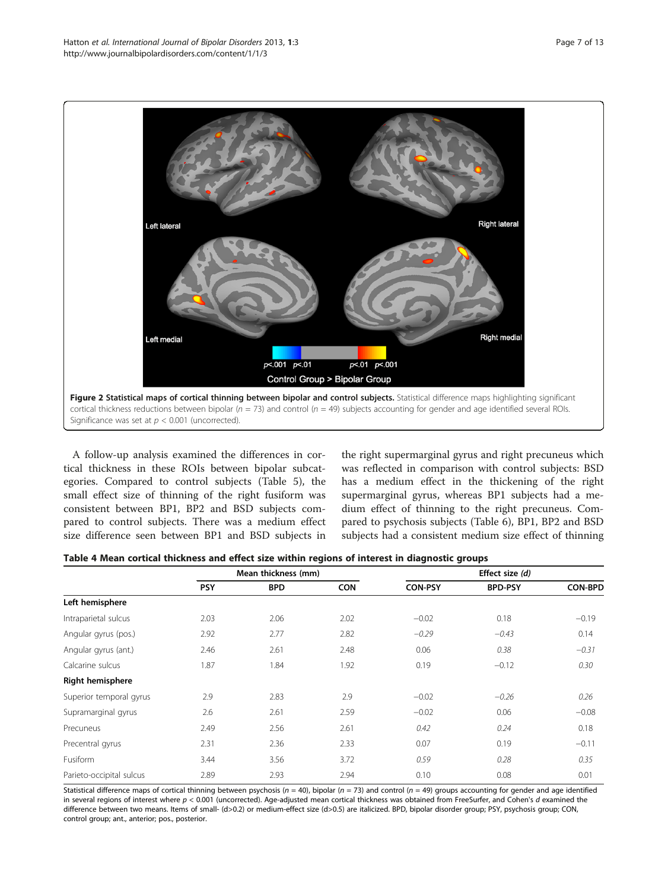<span id="page-6-0"></span>

A follow-up analysis examined the differences in cortical thickness in these ROIs between bipolar subcategories. Compared to control subjects (Table [5](#page-7-0)), the small effect size of thinning of the right fusiform was consistent between BP1, BP2 and BSD subjects compared to control subjects. There was a medium effect size difference seen between BP1 and BSD subjects in

the right supermarginal gyrus and right precuneus which was reflected in comparison with control subjects: BSD has a medium effect in the thickening of the right supermarginal gyrus, whereas BP1 subjects had a medium effect of thinning to the right precuneus. Compared to psychosis subjects (Table [6\)](#page-7-0), BP1, BP2 and BSD subjects had a consistent medium size effect of thinning

| Table 4 Mean cortical thickness and effect size within regions of interest in diagnostic groups |  |  |  |
|-------------------------------------------------------------------------------------------------|--|--|--|
|                                                                                                 |  |  |  |

|                          |            | Mean thickness (mm) |            | Effect size (d) |                |                |  |  |
|--------------------------|------------|---------------------|------------|-----------------|----------------|----------------|--|--|
|                          | <b>PSY</b> | <b>BPD</b>          | <b>CON</b> | <b>CON-PSY</b>  | <b>BPD-PSY</b> | <b>CON-BPD</b> |  |  |
| Left hemisphere          |            |                     |            |                 |                |                |  |  |
| Intraparietal sulcus     | 2.03       | 2.06                | 2.02       | $-0.02$         | 0.18           | $-0.19$        |  |  |
| Angular gyrus (pos.)     | 2.92       | 2.77                | 2.82       | $-0.29$         | $-0.43$        | 0.14           |  |  |
| Angular gyrus (ant.)     | 2.46       | 2.61                | 2.48       | 0.06            | 0.38           | $-0.31$        |  |  |
| Calcarine sulcus         | 1.87       | 1.84                | 1.92       | 0.19            | $-0.12$        | 0.30           |  |  |
| <b>Right hemisphere</b>  |            |                     |            |                 |                |                |  |  |
| Superior temporal gyrus  | 2.9        | 2.83                | 2.9        | $-0.02$         | $-0.26$        | 0.26           |  |  |
| Supramarginal gyrus      | 2.6        | 2.61                | 2.59       | $-0.02$         | 0.06           | $-0.08$        |  |  |
| Precuneus                | 2.49       | 2.56                | 2.61       | 0.42            | 0.24           | 0.18           |  |  |
| Precentral gyrus         | 2.31       | 2.36                | 2.33       | 0.07            | 0.19           | $-0.11$        |  |  |
| Fusiform                 | 3.44       | 3.56                | 3.72       | 0.59            | 0.28           | 0.35           |  |  |
| Parieto-occipital sulcus | 2.89       | 2.93                | 2.94       | 0.10            | 0.08           | 0.01           |  |  |

Statistical difference maps of cortical thinning between psychosis ( $n = 40$ ), bipolar ( $n = 73$ ) and control ( $n = 49$ ) groups accounting for gender and age identified in several regions of interest where  $p < 0.001$  (uncorrected). Age-adjusted mean cortical thickness was obtained from FreeSurfer, and Cohen's d examined the difference between two means. Items of small- (d>0.2) or medium-effect size (d>0.5) are italicized. BPD, bipolar disorder group; PSY, psychosis group; CON, control group; ant., anterior; pos., posterior.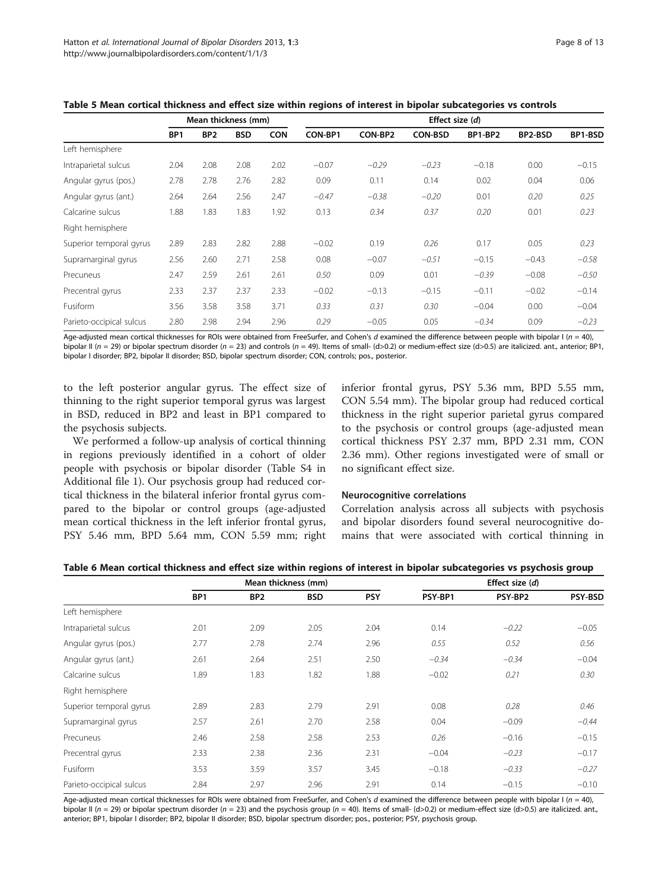|                          | Mean thickness (mm) |                 |            |            | Effect size (d) |         |                |         |         |         |  |
|--------------------------|---------------------|-----------------|------------|------------|-----------------|---------|----------------|---------|---------|---------|--|
|                          | BP <sub>1</sub>     | BP <sub>2</sub> | <b>BSD</b> | <b>CON</b> | CON-BP1         | CON-BP2 | <b>CON-BSD</b> | BP1-BP2 | BP2-BSD | BP1-BSD |  |
| Left hemisphere          |                     |                 |            |            |                 |         |                |         |         |         |  |
| Intraparietal sulcus     | 2.04                | 2.08            | 2.08       | 2.02       | $-0.07$         | $-0.29$ | $-0.23$        | $-0.18$ | 0.00    | $-0.15$ |  |
| Angular gyrus (pos.)     | 2.78                | 2.78            | 2.76       | 2.82       | 0.09            | 0.11    | 0.14           | 0.02    | 0.04    | 0.06    |  |
| Angular gyrus (ant.)     | 2.64                | 2.64            | 2.56       | 2.47       | $-0.47$         | $-0.38$ | $-0.20$        | 0.01    | 0.20    | 0.25    |  |
| Calcarine sulcus         | 1.88                | 1.83            | 1.83       | 1.92       | 0.13            | 0.34    | 0.37           | 0.20    | 0.01    | 0.23    |  |
| Right hemisphere         |                     |                 |            |            |                 |         |                |         |         |         |  |
| Superior temporal gyrus  | 2.89                | 2.83            | 2.82       | 2.88       | $-0.02$         | 0.19    | 0.26           | 0.17    | 0.05    | 0.23    |  |
| Supramarginal gyrus      | 2.56                | 2.60            | 2.71       | 2.58       | 0.08            | $-0.07$ | $-0.51$        | $-0.15$ | $-0.43$ | $-0.58$ |  |
| Precuneus                | 2.47                | 2.59            | 2.61       | 2.61       | 0.50            | 0.09    | 0.01           | $-0.39$ | $-0.08$ | $-0.50$ |  |
| Precentral gyrus         | 2.33                | 2.37            | 2.37       | 2.33       | $-0.02$         | $-0.13$ | $-0.15$        | $-0.11$ | $-0.02$ | $-0.14$ |  |
| Fusiform                 | 3.56                | 3.58            | 3.58       | 3.71       | 0.33            | 0.31    | 0.30           | $-0.04$ | 0.00    | $-0.04$ |  |
| Parieto-occipical sulcus | 2.80                | 2.98            | 2.94       | 2.96       | 0.29            | $-0.05$ | 0.05           | $-0.34$ | 0.09    | $-0.23$ |  |

<span id="page-7-0"></span>Table 5 Mean cortical thickness and effect size within regions of interest in bipolar subcategories vs controls

Age-adjusted mean cortical thicknesses for ROIs were obtained from FreeSurfer, and Cohen's d examined the difference between people with bipolar I ( $n = 40$ ), bipolar II ( $n = 29$ ) or bipolar spectrum disorder ( $n = 23$ ) and controls ( $n = 49$ ). Items of small- (d>0.2) or medium-effect size (d>0.5) are italicized. ant., anterior; BP1, bipolar I disorder; BP2, bipolar II disorder; BSD, bipolar spectrum disorder; CON, controls; pos., posterior.

to the left posterior angular gyrus. The effect size of thinning to the right superior temporal gyrus was largest in BSD, reduced in BP2 and least in BP1 compared to the psychosis subjects.

We performed a follow-up analysis of cortical thinning in regions previously identified in a cohort of older people with psychosis or bipolar disorder (Table S4 in Additional file [1](#page-10-0)). Our psychosis group had reduced cortical thickness in the bilateral inferior frontal gyrus compared to the bipolar or control groups (age-adjusted mean cortical thickness in the left inferior frontal gyrus, PSY 5.46 mm, BPD 5.64 mm, CON 5.59 mm; right inferior frontal gyrus, PSY 5.36 mm, BPD 5.55 mm, CON 5.54 mm). The bipolar group had reduced cortical thickness in the right superior parietal gyrus compared to the psychosis or control groups (age-adjusted mean cortical thickness PSY 2.37 mm, BPD 2.31 mm, CON 2.36 mm). Other regions investigated were of small or no significant effect size.

## Neurocognitive correlations

Correlation analysis across all subjects with psychosis and bipolar disorders found several neurocognitive domains that were associated with cortical thinning in

|                          |                 |                 | Mean thickness (mm) |            | Effect size (d) |         |                |  |
|--------------------------|-----------------|-----------------|---------------------|------------|-----------------|---------|----------------|--|
|                          | BP <sub>1</sub> | BP <sub>2</sub> | <b>BSD</b>          | <b>PSY</b> | PSY-BP1         | PSY-BP2 | <b>PSY-BSD</b> |  |
| Left hemisphere          |                 |                 |                     |            |                 |         |                |  |
| Intraparietal sulcus     | 2.01            | 2.09            | 2.05                | 2.04       | 0.14            | $-0.22$ | $-0.05$        |  |
| Angular gyrus (pos.)     | 2.77            | 2.78            | 2.74                | 2.96       | 0.55            | 0.52    | 0.56           |  |
| Angular gyrus (ant.)     | 2.61            | 2.64            | 2.51                | 2.50       | $-0.34$         | $-0.34$ | $-0.04$        |  |
| Calcarine sulcus         | 1.89            | 1.83            | 1.82                | 1.88       | $-0.02$         | 0.21    | 0.30           |  |
| Right hemisphere         |                 |                 |                     |            |                 |         |                |  |
| Superior temporal gyrus  | 2.89            | 2.83            | 2.79                | 2.91       | 0.08            | 0.28    | 0.46           |  |
| Supramarginal gyrus      | 2.57            | 2.61            | 2.70                | 2.58       | 0.04            | $-0.09$ | $-0.44$        |  |
| Precuneus                | 2.46            | 2.58            | 2.58                | 2.53       | 0.26            | $-0.16$ | $-0.15$        |  |
| Precentral gyrus         | 2.33            | 2.38            | 2.36                | 2.31       | $-0.04$         | $-0.23$ | $-0.17$        |  |
| Fusiform                 | 3.53            | 3.59            | 3.57                | 3.45       | $-0.18$         | $-0.33$ | $-0.27$        |  |
| Parieto-occipical sulcus | 2.84            | 2.97            | 2.96                | 2.91       | 0.14            | $-0.15$ | $-0.10$        |  |

Age-adjusted mean cortical thicknesses for ROIs were obtained from FreeSurfer, and Cohen's d examined the difference between people with bipolar I ( $n = 40$ ), bipolar II ( $n = 29$ ) or bipolar spectrum disorder ( $n = 23$ ) and the psychosis group ( $n = 40$ ). Items of small- (d>0.2) or medium-effect size (d>0.5) are italicized. ant., anterior; BP1, bipolar I disorder; BP2, bipolar II disorder; BSD, bipolar spectrum disorder; pos., posterior; PSY, psychosis group.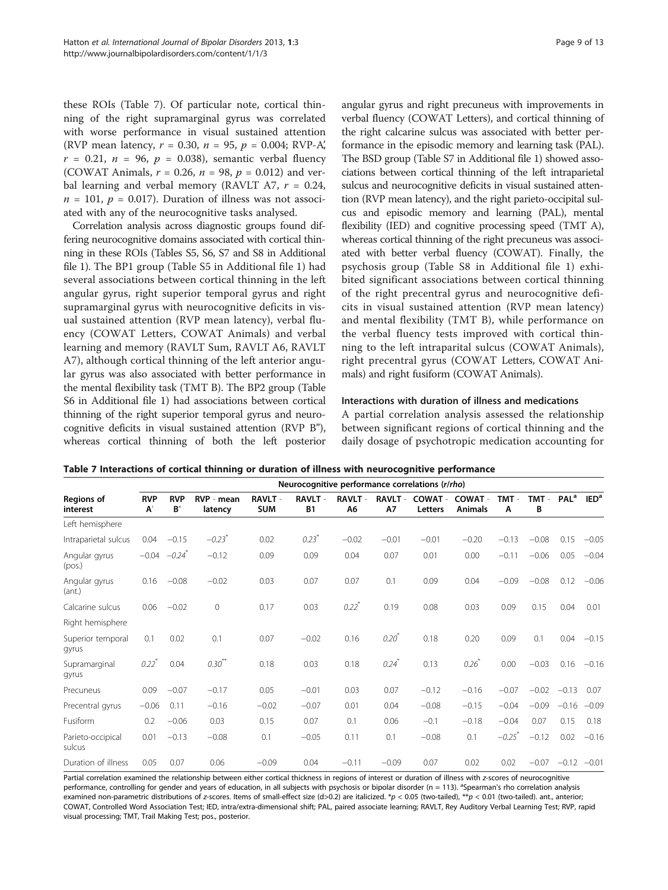these ROIs (Table 7). Of particular note, cortical thinning of the right supramarginal gyrus was correlated with worse performance in visual sustained attention (RVP mean latency,  $r = 0.30$ ,  $n = 95$ ,  $p = 0.004$ ; RVP-A',  $r = 0.21$ ,  $n = 96$ ,  $p = 0.038$ ), semantic verbal fluency (COWAT Animals,  $r = 0.26$ ,  $n = 98$ ,  $p = 0.012$ ) and verbal learning and verbal memory (RAVLT A7,  $r = 0.24$ ,  $n = 101$ ,  $p = 0.017$ ). Duration of illness was not associated with any of the neurocognitive tasks analysed.

Correlation analysis across diagnostic groups found differing neurocognitive domains associated with cortical thinning in these ROIs (Tables S5, S6, S7 and S8 in Additional file [1\)](#page-10-0). The BP1 group (Table S5 in Additional file [1](#page-10-0)) had several associations between cortical thinning in the left angular gyrus, right superior temporal gyrus and right supramarginal gyrus with neurocognitive deficits in visual sustained attention (RVP mean latency), verbal fluency (COWAT Letters, COWAT Animals) and verbal learning and memory (RAVLT Sum, RAVLT A6, RAVLT A7), although cortical thinning of the left anterior angular gyrus was also associated with better performance in the mental flexibility task (TMT B). The BP2 group (Table S6 in Additional file [1\)](#page-10-0) had associations between cortical thinning of the right superior temporal gyrus and neurocognitive deficits in visual sustained attention (RVP B"), whereas cortical thinning of both the left posterior angular gyrus and right precuneus with improvements in verbal fluency (COWAT Letters), and cortical thinning of the right calcarine sulcus was associated with better performance in the episodic memory and learning task (PAL). The BSD group (Table S7 in Additional file [1\)](#page-10-0) showed associations between cortical thinning of the left intraparietal sulcus and neurocognitive deficits in visual sustained attention (RVP mean latency), and the right parieto-occipital sulcus and episodic memory and learning (PAL), mental flexibility (IED) and cognitive processing speed (TMT A), whereas cortical thinning of the right precuneus was associated with better verbal fluency (COWAT). Finally, the psychosis group (Table S8 in Additional file [1](#page-10-0)) exhibited significant associations between cortical thinning of the right precentral gyrus and neurocognitive deficits in visual sustained attention (RVP mean latency) and mental flexibility (TMT B), while performance on the verbal fluency tests improved with cortical thinning to the left intraparital sulcus (COWAT Animals), right precentral gyrus (COWAT Letters, COWAT Animals) and right fusiform (COWAT Animals).

## Interactions with duration of illness and medications

A partial correlation analysis assessed the relationship between significant regions of cortical thinning and the daily dosage of psychotropic medication accounting for

Table 7 Interactions of cortical thinning or duration of illness with neurocognitive performance

|                               | Neurocognitive performance correlations (r/rho) |                      |                       |                              |                            |                      |                      |                                  |                                  |            |            |                         |                  |  |
|-------------------------------|-------------------------------------------------|----------------------|-----------------------|------------------------------|----------------------------|----------------------|----------------------|----------------------------------|----------------------------------|------------|------------|-------------------------|------------------|--|
| <b>Regions of</b><br>interest | <b>RVP</b><br>A'                                | <b>RVP</b><br>B''    | RVP - mean<br>latency | <b>RAVLT -</b><br><b>SUM</b> | <b>RAVLT-</b><br><b>B1</b> | <b>RAVLT -</b><br>A6 | <b>RAVLT -</b><br>A7 | <b>COWAT -</b><br><b>Letters</b> | <b>COWAT -</b><br><b>Animals</b> | TMT -<br>Α | TMT -<br>В | <b>PAL</b> <sup>a</sup> | IED <sup>a</sup> |  |
| Left hemisphere               |                                                 |                      |                       |                              |                            |                      |                      |                                  |                                  |            |            |                         |                  |  |
| Intraparietal sulcus          | 0.04                                            | $-0.15$              | $-0.23$ <sup>*</sup>  | 0.02                         | 0.23                       | $-0.02$              | $-0.01$              | $-0.01$                          | $-0.20$                          | $-0.13$    | $-0.08$    | 0.15                    | $-0.05$          |  |
| Angular gyrus<br>(pos.)       | $-0.04$                                         | $-0.24$ <sup>*</sup> | $-0.12$               | 0.09                         | 0.09                       | 0.04                 | 0.07                 | 0.01                             | 0.00                             | $-0.11$    | $-0.06$    | 0.05                    | $-0.04$          |  |
| Angular gyrus<br>(ant.)       | 0.16                                            | $-0.08$              | $-0.02$               | 0.03                         | 0.07                       | 0.07                 | 0.1                  | 0.09                             | 0.04                             | $-0.09$    | $-0.08$    | 0.12                    | $-0.06$          |  |
| Calcarine sulcus              | 0.06                                            | $-0.02$              | $\mathbf{0}$          | 0.17                         | 0.03                       | $0.22^{*}$           | 0.19                 | 0.08                             | 0.03                             | 0.09       | 0.15       | 0.04                    | 0.01             |  |
| Right hemisphere              |                                                 |                      |                       |                              |                            |                      |                      |                                  |                                  |            |            |                         |                  |  |
| Superior temporal<br>gyrus    | 0.1                                             | 0.02                 | 0.1                   | 0.07                         | $-0.02$                    | 0.16                 | $0.20^{*}$           | 0.18                             | 0.20                             | 0.09       | 0.1        | 0.04                    | $-0.15$          |  |
| Supramarginal<br>gyrus        | $0.22$ <sup>*</sup>                             | 0.04                 | $0.30^{**}$           | 0.18                         | 0.03                       | 0.18                 | $0.24$ <sup>*</sup>  | 0.13                             | $0.26^{*}$                       | 0.00       | $-0.03$    | 0.16                    | $-0.16$          |  |
| Precuneus                     | 0.09                                            | $-0.07$              | $-0.17$               | 0.05                         | $-0.01$                    | 0.03                 | 0.07                 | $-0.12$                          | $-0.16$                          | $-0.07$    | $-0.02$    | $-0.13$                 | 0.07             |  |
| Precentral gyrus              | $-0.06$                                         | 0.11                 | $-0.16$               | $-0.02$                      | $-0.07$                    | 0.01                 | 0.04                 | $-0.08$                          | $-0.15$                          | $-0.04$    | $-0.09$    | $-0.16$                 | $-0.09$          |  |
| Fusiform                      | 0.2                                             | $-0.06$              | 0.03                  | 0.15                         | 0.07                       | 0.1                  | 0.06                 | $-0.1$                           | $-0.18$                          | $-0.04$    | 0.07       | 0.15                    | 0.18             |  |
| Parieto-occipical<br>sulcus   | 0.01                                            | $-0.13$              | $-0.08$               | 0.1                          | $-0.05$                    | 0.11                 | 0.1                  | $-0.08$                          | 0.1                              | $-0.25$    | $-0.12$    | 0.02                    | $-0.16$          |  |
| Duration of illness           | 0.05                                            | 0.07                 | 0.06                  | $-0.09$                      | 0.04                       | $-0.11$              | $-0.09$              | 0.07                             | 0.02                             | 0.02       | $-0.07$    | $-0.12$                 | $-0.01$          |  |

Partial correlation examined the relationship between either cortical thickness in regions of interest or duration of illness with z-scores of neurocognitive performance, controlling for gender and years of education, in all subjects with psychosis or bipolar disorder (n = 113). <sup>a</sup>Spearman's rho correlation analysis examined non-parametric distributions of z-scores. Items of small-effect size (d>0.2) are italicized. \*p < 0.05 (two-tailed), \*\*p < 0.01 (two-tailed). ant., anterior; COWAT, Controlled Word Association Test; IED, intra/extra-dimensional shift; PAL, paired associate learning; RAVLT, Rey Auditory Verbal Learning Test; RVP, rapid visual processing; TMT, Trail Making Test; pos., posterior.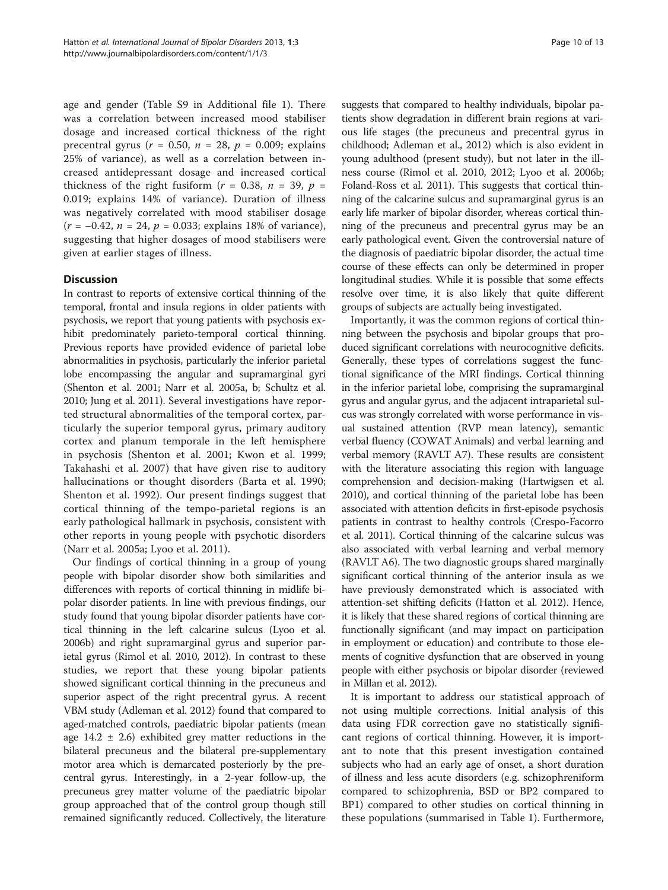age and gender (Table S9 in Additional file [1\)](#page-10-0). There was a correlation between increased mood stabiliser dosage and increased cortical thickness of the right precentral gyrus ( $r = 0.50$ ,  $n = 28$ ,  $p = 0.009$ ; explains 25% of variance), as well as a correlation between increased antidepressant dosage and increased cortical thickness of the right fusiform ( $r = 0.38$ ,  $n = 39$ ,  $p =$ 0.019; explains 14% of variance). Duration of illness was negatively correlated with mood stabiliser dosage  $(r = -0.42, n = 24, p = 0.033;$  explains 18% of variance), suggesting that higher dosages of mood stabilisers were given at earlier stages of illness.

# **Discussion**

In contrast to reports of extensive cortical thinning of the temporal, frontal and insula regions in older patients with psychosis, we report that young patients with psychosis exhibit predominately parieto-temporal cortical thinning. Previous reports have provided evidence of parietal lobe abnormalities in psychosis, particularly the inferior parietal lobe encompassing the angular and supramarginal gyri (Shenton et al. [2001;](#page-12-0) Narr et al. [2005a](#page-11-0), [b](#page-12-0); Schultz et al. [2010;](#page-12-0) Jung et al. [2011](#page-11-0)). Several investigations have reported structural abnormalities of the temporal cortex, particularly the superior temporal gyrus, primary auditory cortex and planum temporale in the left hemisphere in psychosis (Shenton et al. [2001](#page-12-0); Kwon et al. [1999](#page-11-0); Takahashi et al. [2007\)](#page-12-0) that have given rise to auditory hallucinations or thought disorders (Barta et al. [1990](#page-11-0); Shenton et al. [1992](#page-12-0)). Our present findings suggest that cortical thinning of the tempo-parietal regions is an early pathological hallmark in psychosis, consistent with other reports in young people with psychotic disorders (Narr et al. [2005a](#page-11-0); Lyoo et al. [2011\)](#page-11-0).

Our findings of cortical thinning in a group of young people with bipolar disorder show both similarities and differences with reports of cortical thinning in midlife bipolar disorder patients. In line with previous findings, our study found that young bipolar disorder patients have cortical thinning in the left calcarine sulcus (Lyoo et al. [2006b\)](#page-11-0) and right supramarginal gyrus and superior parietal gyrus (Rimol et al. [2010, 2012\)](#page-12-0). In contrast to these studies, we report that these young bipolar patients showed significant cortical thinning in the precuneus and superior aspect of the right precentral gyrus. A recent VBM study (Adleman et al. [2012\)](#page-11-0) found that compared to aged-matched controls, paediatric bipolar patients (mean age  $14.2 \pm 2.6$ ) exhibited grey matter reductions in the bilateral precuneus and the bilateral pre-supplementary motor area which is demarcated posteriorly by the precentral gyrus. Interestingly, in a 2-year follow-up, the precuneus grey matter volume of the paediatric bipolar group approached that of the control group though still remained significantly reduced. Collectively, the literature

suggests that compared to healthy individuals, bipolar patients show degradation in different brain regions at various life stages (the precuneus and precentral gyrus in childhood; Adleman et al., [2012](#page-11-0)) which is also evident in young adulthood (present study), but not later in the illness course (Rimol et al. [2010, 2012](#page-12-0); Lyoo et al. [2006b](#page-11-0); Foland-Ross et al. [2011\)](#page-11-0). This suggests that cortical thinning of the calcarine sulcus and supramarginal gyrus is an early life marker of bipolar disorder, whereas cortical thinning of the precuneus and precentral gyrus may be an early pathological event. Given the controversial nature of the diagnosis of paediatric bipolar disorder, the actual time course of these effects can only be determined in proper longitudinal studies. While it is possible that some effects resolve over time, it is also likely that quite different groups of subjects are actually being investigated.

Importantly, it was the common regions of cortical thinning between the psychosis and bipolar groups that produced significant correlations with neurocognitive deficits. Generally, these types of correlations suggest the functional significance of the MRI findings. Cortical thinning in the inferior parietal lobe, comprising the supramarginal gyrus and angular gyrus, and the adjacent intraparietal sulcus was strongly correlated with worse performance in visual sustained attention (RVP mean latency), semantic verbal fluency (COWAT Animals) and verbal learning and verbal memory (RAVLT A7). These results are consistent with the literature associating this region with language comprehension and decision-making (Hartwigsen et al. [2010](#page-11-0)), and cortical thinning of the parietal lobe has been associated with attention deficits in first-episode psychosis patients in contrast to healthy controls (Crespo-Facorro et al. [2011](#page-11-0)). Cortical thinning of the calcarine sulcus was also associated with verbal learning and verbal memory (RAVLT A6). The two diagnostic groups shared marginally significant cortical thinning of the anterior insula as we have previously demonstrated which is associated with attention-set shifting deficits (Hatton et al. [2012\)](#page-11-0). Hence, it is likely that these shared regions of cortical thinning are functionally significant (and may impact on participation in employment or education) and contribute to those elements of cognitive dysfunction that are observed in young people with either psychosis or bipolar disorder (reviewed in Millan et al. [2012](#page-11-0)).

It is important to address our statistical approach of not using multiple corrections. Initial analysis of this data using FDR correction gave no statistically significant regions of cortical thinning. However, it is important to note that this present investigation contained subjects who had an early age of onset, a short duration of illness and less acute disorders (e.g. schizophreniform compared to schizophrenia, BSD or BP2 compared to BP1) compared to other studies on cortical thinning in these populations (summarised in Table [1](#page-1-0)). Furthermore,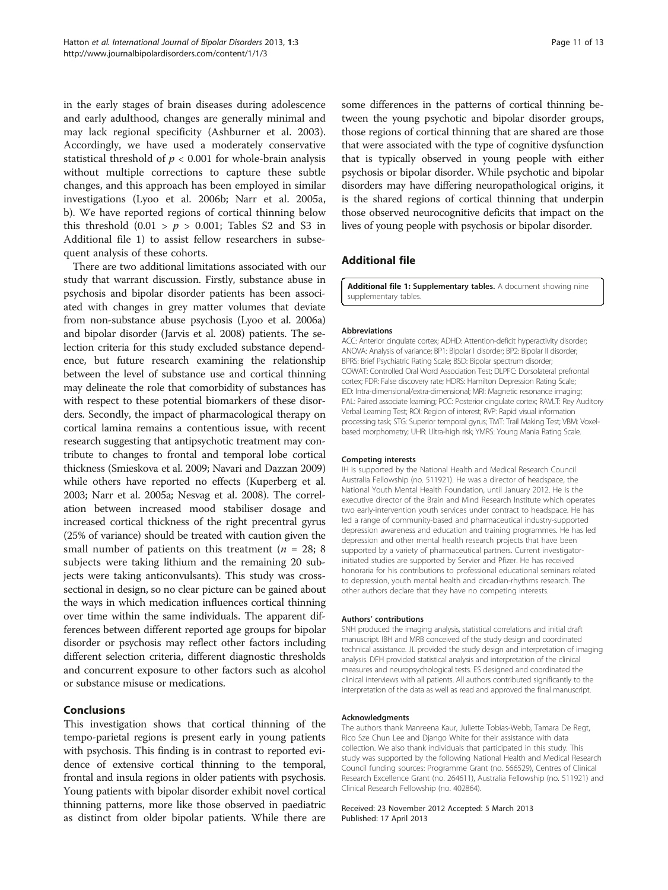<span id="page-10-0"></span>in the early stages of brain diseases during adolescence and early adulthood, changes are generally minimal and may lack regional specificity (Ashburner et al. [2003](#page-11-0)). Accordingly, we have used a moderately conservative statistical threshold of  $p < 0.001$  for whole-brain analysis without multiple corrections to capture these subtle changes, and this approach has been employed in similar investigations (Lyoo et al. [2006b;](#page-11-0) Narr et al. [2005a](#page-11-0), [b\)](#page-12-0). We have reported regions of cortical thinning below this threshold  $(0.01 > p > 0.001$ ; Tables S2 and S3 in Additional file 1) to assist fellow researchers in subsequent analysis of these cohorts.

There are two additional limitations associated with our study that warrant discussion. Firstly, substance abuse in psychosis and bipolar disorder patients has been associated with changes in grey matter volumes that deviate from non-substance abuse psychosis (Lyoo et al. [2006a](#page-11-0)) and bipolar disorder (Jarvis et al. [2008](#page-11-0)) patients. The selection criteria for this study excluded substance dependence, but future research examining the relationship between the level of substance use and cortical thinning may delineate the role that comorbidity of substances has with respect to these potential biomarkers of these disorders. Secondly, the impact of pharmacological therapy on cortical lamina remains a contentious issue, with recent research suggesting that antipsychotic treatment may contribute to changes to frontal and temporal lobe cortical thickness (Smieskova et al. [2009;](#page-12-0) Navari and Dazzan [2009](#page-12-0)) while others have reported no effects (Kuperberg et al. [2003;](#page-11-0) Narr et al. [2005a;](#page-11-0) Nesvag et al. [2008\)](#page-12-0). The correlation between increased mood stabiliser dosage and increased cortical thickness of the right precentral gyrus (25% of variance) should be treated with caution given the small number of patients on this treatment ( $n = 28$ ; 8) subjects were taking lithium and the remaining 20 subjects were taking anticonvulsants). This study was crosssectional in design, so no clear picture can be gained about the ways in which medication influences cortical thinning over time within the same individuals. The apparent differences between different reported age groups for bipolar disorder or psychosis may reflect other factors including different selection criteria, different diagnostic thresholds and concurrent exposure to other factors such as alcohol or substance misuse or medications.

# Conclusions

This investigation shows that cortical thinning of the tempo-parietal regions is present early in young patients with psychosis. This finding is in contrast to reported evidence of extensive cortical thinning to the temporal, frontal and insula regions in older patients with psychosis. Young patients with bipolar disorder exhibit novel cortical thinning patterns, more like those observed in paediatric as distinct from older bipolar patients. While there are

some differences in the patterns of cortical thinning between the young psychotic and bipolar disorder groups, those regions of cortical thinning that are shared are those that were associated with the type of cognitive dysfunction that is typically observed in young people with either psychosis or bipolar disorder. While psychotic and bipolar disorders may have differing neuropathological origins, it is the shared regions of cortical thinning that underpin those observed neurocognitive deficits that impact on the lives of young people with psychosis or bipolar disorder.

# Additional file

[Additional file 1:](http://www.biomedcentral.com/content/supplementary/2194-7511-1-3-S1.docx) Supplementary tables. A document showing nine supplementary tables

#### Abbreviations

ACC: Anterior cingulate cortex; ADHD: Attention-deficit hyperactivity disorder; ANOVA: Analysis of variance; BP1: Bipolar I disorder; BP2: Bipolar II disorder; BPRS: Brief Psychiatric Rating Scale; BSD: Bipolar spectrum disorder; COWAT: Controlled Oral Word Association Test; DLPFC: Dorsolateral prefrontal cortex; FDR: False discovery rate; HDRS: Hamilton Depression Rating Scale; IED: Intra-dimensional/extra-dimensional; MRI: Magnetic resonance imaging; PAL: Paired associate learning; PCC: Posterior cingulate cortex; RAVLT: Rey Auditory Verbal Learning Test; ROI: Region of interest; RVP: Rapid visual information processing task; STG: Superior temporal gyrus; TMT: Trail Making Test; VBM: Voxelbased morphometry; UHR: Ultra-high risk; YMRS: Young Mania Rating Scale.

#### Competing interests

IH is supported by the National Health and Medical Research Council Australia Fellowship (no. 511921). He was a director of headspace, the National Youth Mental Health Foundation, until January 2012. He is the executive director of the Brain and Mind Research Institute which operates two early-intervention youth services under contract to headspace. He has led a range of community-based and pharmaceutical industry-supported depression awareness and education and training programmes. He has led depression and other mental health research projects that have been supported by a variety of pharmaceutical partners. Current investigatorinitiated studies are supported by Servier and Pfizer. He has received honoraria for his contributions to professional educational seminars related to depression, youth mental health and circadian-rhythms research. The other authors declare that they have no competing interests.

#### Authors' contributions

SNH produced the imaging analysis, statistical correlations and initial draft manuscript. IBH and MRB conceived of the study design and coordinated technical assistance. JL provided the study design and interpretation of imaging analysis. DFH provided statistical analysis and interpretation of the clinical measures and neuropsychological tests. ES designed and coordinated the clinical interviews with all patients. All authors contributed significantly to the interpretation of the data as well as read and approved the final manuscript.

#### Acknowledgments

The authors thank Manreena Kaur, Juliette Tobias-Webb, Tamara De Regt, Rico Sze Chun Lee and Django White for their assistance with data collection. We also thank individuals that participated in this study. This study was supported by the following National Health and Medical Research Council funding sources: Programme Grant (no. 566529), Centres of Clinical Research Excellence Grant (no. 264611), Australia Fellowship (no. 511921) and Clinical Research Fellowship (no. 402864).

Received: 23 November 2012 Accepted: 5 March 2013 Published: 17 April 2013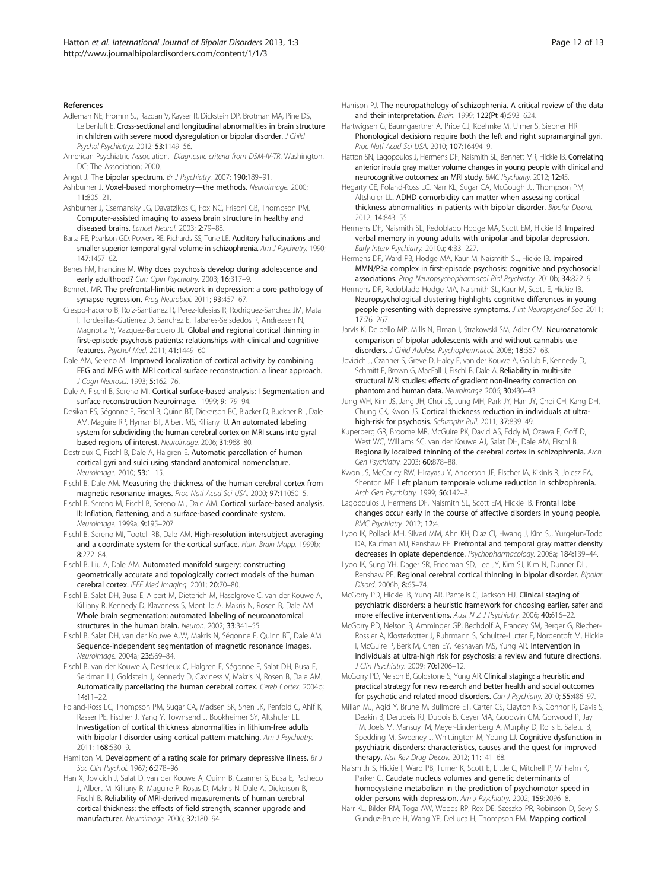#### <span id="page-11-0"></span>References

- Adleman NE, Fromm SJ, Razdan V, Kayser R, Dickstein DP, Brotman MA, Pine DS, Leibenluft E. Cross-sectional and longitudinal abnormalities in brain structure in children with severe mood dysregulation or bipolar disorder. J Child Psychol Psychiatryz. 2012; 53:1149–56.
- American Psychiatric Association. Diagnostic criteria from DSM-IV-TR. Washington, DC: The Association; 2000.
- Angst J. The bipolar spectrum. Br J Psychiatry. 2007; 190:189-91.
- Ashburner J. Voxel-based morphometry-the methods. Neuroimage. 2000; 11:805–21.
- Ashburner J, Csernansky JG, Davatzikos C, Fox NC, Frisoni GB, Thompson PM. Computer-assisted imaging to assess brain structure in healthy and diseased brains. Lancet Neurol. 2003; 2:79–88.
- Barta PE, Pearlson GD, Powers RE, Richards SS, Tune LE. Auditory hallucinations and smaller superior temporal gyral volume in schizophrenia. Am J Psychiatry. 1990; 147:1457–62.
- Benes FM, Francine M. Why does psychosis develop during adolescence and early adulthood? Curr Opin Psychiatry. 2003; 16:317-9.
- Bennett MR. The prefrontal-limbic network in depression: a core pathology of synapse regression. Prog Neurobiol. 2011; 93:457–67.
- Crespo-Facorro B, Roiz-Santianez R, Perez-Iglesias R, Rodriguez-Sanchez JM, Mata I, Tordesillas-Gutierrez D, Sanchez E, Tabares-Seisdedos R, Andreasen N, Magnotta V, Vazquez-Barquero JL. Global and regional cortical thinning in first-episode psychosis patients: relationships with clinical and cognitive features. Psychol Med. 2011; 41:1449–60.
- Dale AM, Sereno MI. Improved localization of cortical activity by combining EEG and MEG with MRI cortical surface reconstruction: a linear approach. J Cogn Neurosci. 1993; 5:162–76.
- Dale A, Fischl B, Sereno MI. Cortical surface-based analysis: I Segmentation and surface reconstruction Neuroimage. 1999; 9:179–94.
- Desikan RS, Ségonne F, Fischl B, Quinn BT, Dickerson BC, Blacker D, Buckner RL, Dale AM, Maguire RP, Hyman BT, Albert MS, Killiany RJ. An automated labeling system for subdividing the human cerebral cortex on MRI scans into gyral based regions of interest. Neuroimage. 2006; 31:968–80.
- Destrieux C, Fischl B, Dale A, Halgren E. Automatic parcellation of human cortical gyri and sulci using standard anatomical nomenclature. Neuroimage. 2010; 53:1–15.
- Fischl B, Dale AM. Measuring the thickness of the human cerebral cortex from magnetic resonance images. Proc Natl Acad Sci USA. 2000; 97:11050–5.
- Fischl B, Sereno M, Fischl B, Sereno MI, Dale AM. Cortical surface-based analysis. II: Inflation, flattening, and a surface-based coordinate system. Neuroimage. 1999a; 9:195–207.
- Fischl B, Sereno MI, Tootell RB, Dale AM. High-resolution intersubject averaging and a coordinate system for the cortical surface. Hum Brain Mapp. 1999b; 8:272–84.
- Fischl B, Liu A, Dale AM. Automated manifold surgery: constructing geometrically accurate and topologically correct models of the human cerebral cortex. IEEE Med Imaging. 2001; 20:70–80.
- Fischl B, Salat DH, Busa E, Albert M, Dieterich M, Haselgrove C, van der Kouwe A, Killiany R, Kennedy D, Klaveness S, Montillo A, Makris N, Rosen B, Dale AM. Whole brain segmentation: automated labeling of neuroanatomical structures in the human brain. Neuron. 2002; 33:341–55.
- Fischl B, Salat DH, van der Kouwe AJW, Makris N, Ségonne F, Quinn BT, Dale AM. Sequence-independent segmentation of magnetic resonance images. Neuroimage. 2004a; 23:S69–84.
- Fischl B, van der Kouwe A, Destrieux C, Halgren E, Ségonne F, Salat DH, Busa E, Seidman LJ, Goldstein J, Kennedy D, Caviness V, Makris N, Rosen B, Dale AM. Automatically parcellating the human cerebral cortex. Cereb Cortex. 2004b; 14:11–22.
- Foland-Ross LC, Thompson PM, Sugar CA, Madsen SK, Shen JK, Penfold C, Ahlf K, Rasser PE, Fischer J, Yang Y, Townsend J, Bookheimer SY, Altshuler LL. Investigation of cortical thickness abnormalities in lithium-free adults with bipolar I disorder using cortical pattern matching. Am J Psychiatry. 2011; 168:530–9.
- Hamilton M. Development of a rating scale for primary depressive illness. Br J Soc Clin Psychol. 1967; 6:278–96.
- Han X, Jovicich J, Salat D, van der Kouwe A, Quinn B, Czanner S, Busa E, Pacheco J, Albert M, Killiany R, Maguire P, Rosas D, Makris N, Dale A, Dickerson B, Fischl B. Reliability of MRI-derived measurements of human cerebral cortical thickness: the effects of field strength, scanner upgrade and manufacturer. Neuroimage. 2006; 32:180–94.
- Harrison PJ. The neuropathology of schizophrenia. A critical review of the data and their interpretation. Brain. 1999; 122(Pt 4):593–624.
- Hartwigsen G, Baumgaertner A, Price CJ, Koehnke M, Ulmer S, Siebner HR. Phonological decisions require both the left and right supramarginal gyri. Proc Natl Acad Sci USA. 2010; 107:16494–9.
- Hatton SN, Lagopoulos J, Hermens DF, Naismith SL, Bennett MR, Hickie IB. Correlating anterior insula gray matter volume changes in young people with clinical and neurocognitive outcomes: an MRI study. BMC Psychiatry. 2012; 12:45.
- Hegarty CE, Foland-Ross LC, Narr KL, Sugar CA, McGough JJ, Thompson PM, Altshuler LL. ADHD comorbidity can matter when assessing cortical thickness abnormalities in patients with bipolar disorder. Bipolar Disord. 2012; 14:843–55.
- Hermens DF, Naismith SL, Redoblado Hodge MA, Scott EM, Hickie IB. Impaired verbal memory in young adults with unipolar and bipolar depression. Early Interv Psychiatry. 2010a; 4:33–227.
- Hermens DF, Ward PB, Hodge MA, Kaur M, Naismith SL, Hickie IB. Impaired MMN/P3a complex in first-episode psychosis: cognitive and psychosocial associations. Prog Neuropsychopharmacol Biol Psychiatry. 2010b; 34:822–9.
- Hermens DF, Redoblado Hodge MA, Naismith SL, Kaur M, Scott E, Hickie IB. Neuropsychological clustering highlights cognitive differences in young people presenting with depressive symptoms. J Int Neuropsychol Soc. 2011; 17:76–267.
- Jarvis K, Delbello MP, Mills N, Elman I, Strakowski SM, Adler CM. Neuroanatomic comparison of bipolar adolescents with and without cannabis use disorders. J Child Adolesc Psychopharmacol. 2008; 18:557-63.
- Jovicich J, Czanner S, Greve D, Haley E, van der Kouwe A, Gollub R, Kennedy D, Schmitt F, Brown G, MacFall J, Fischl B, Dale A. Reliability in multi-site structural MRI studies: effects of gradient non-linearity correction on phantom and human data. Neuroimage. 2006; 30:436–43.
- Jung WH, Kim JS, Jang JH, Choi JS, Jung MH, Park JY, Han JY, Choi CH, Kang DH, Chung CK, Kwon JS. Cortical thickness reduction in individuals at ultrahigh-risk for psychosis. Schizophr Bull. 2011; 37:839–49.
- Kuperberg GR, Broome MR, McGuire PK, David AS, Eddy M, Ozawa F, Goff D, West WC, Williams SC, van der Kouwe AJ, Salat DH, Dale AM, Fischl B. Regionally localized thinning of the cerebral cortex in schizophrenia. Arch Gen Psychiatry. 2003; 60:878–88.
- Kwon JS, McCarley RW, Hirayasu Y, Anderson JE, Fischer IA, Kikinis R, Jolesz FA, Shenton ME. Left planum temporale volume reduction in schizophrenia. Arch Gen Psychiatry. 1999; 56:142–8.
- Lagopoulos J, Hermens DF, Naismith SL, Scott EM, Hickie IB. Frontal lobe changes occur early in the course of affective disorders in young people. BMC Psychiatry. 2012; 12:4.
- Lyoo IK, Pollack MH, Silveri MM, Ahn KH, Diaz CI, Hwang J, Kim SJ, Yurgelun-Todd DA, Kaufman MJ, Renshaw PF. Prefrontal and temporal gray matter density decreases in opiate dependence. Psychopharmacology. 2006a; 184:139–44.
- Lyoo IK, Sung YH, Dager SR, Friedman SD, Lee JY, Kim SJ, Kim N, Dunner DL, Renshaw PF. Regional cerebral cortical thinning in bipolar disorder. Bipolar Disord. 2006b; 8:65–74.
- McGorry PD, Hickie IB, Yung AR, Pantelis C, Jackson HJ. Clinical staging of psychiatric disorders: a heuristic framework for choosing earlier, safer and more effective interventions. Aust N Z J Psychiatry. 2006; 40:616-22.
- McGorry PD, Nelson B, Amminger GP, Bechdolf A, Francey SM, Berger G, Riecher-Rossler A, Klosterkotter J, Ruhrmann S, Schultze-Lutter F, Nordentoft M, Hickie I, McGuire P, Berk M, Chen EY, Keshavan MS, Yung AR. Intervention in individuals at ultra-high risk for psychosis: a review and future directions. J Clin Psychiatry. 2009; 70:1206–12.
- McGorry PD, Nelson B, Goldstone S, Yung AR. Clinical staging: a heuristic and practical strategy for new research and better health and social outcomes for psychotic and related mood disorders. Can J Psychiatry. 2010; 55:486-97.
- Millan MJ, Agid Y, Brune M, Bullmore ET, Carter CS, Clayton NS, Connor R, Davis S, Deakin B, Derubeis RJ, Dubois B, Geyer MA, Goodwin GM, Gorwood P, Jay TM, Joels M, Mansuy IM, Meyer-Lindenberg A, Murphy D, Rolls E, Saletu B, Spedding M, Sweeney J, Whittington M, Young LJ. Cognitive dysfunction in psychiatric disorders: characteristics, causes and the quest for improved therapy. Nat Rev Drug Discov. 2012; 11:141–68.
- Naismith S, Hickie I, Ward PB, Turner K, Scott E, Little C, Mitchell P, Wilhelm K, Parker G. Caudate nucleus volumes and genetic determinants of homocysteine metabolism in the prediction of psychomotor speed in older persons with depression. Am J Psychiatry. 2002; 159:2096–8.
- Narr KL, Bilder RM, Toga AW, Woods RP, Rex DE, Szeszko PR, Robinson D, Sevy S, Gunduz-Bruce H, Wang YP, DeLuca H, Thompson PM. Mapping cortical